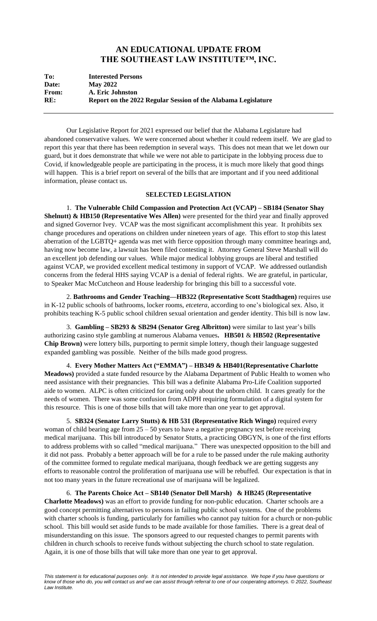## **AN EDUCATIONAL UPDATE FROM THE SOUTHEAST LAW INSTITUTE™, INC.**

| To:          | <b>Interested Persons</b>                                     |
|--------------|---------------------------------------------------------------|
| Date:        | <b>May 2022</b>                                               |
| <b>From:</b> | A. Eric Johnston                                              |
| RE:          | Report on the 2022 Regular Session of the Alabama Legislature |

Our Legislative Report for 2021 expressed our belief that the Alabama Legislature had abandoned conservative values. We were concerned about whether it could redeem itself. We are glad to report this year that there has been redemption in several ways. This does not mean that we let down our guard, but it does demonstrate that while we were not able to participate in the lobbying process due to Covid, if knowledgeable people are participating in the process, it is much more likely that good things will happen. This is a brief report on several of the bills that are important and if you need additional information, please contact us.

## **SELECTED LEGISLATION**

1. **The Vulnerable Child Compassion and Protection Act (VCAP) – SB184 (Senator Shay Shelnutt) & HB150 (Representative Wes Allen)** were presented for the third year and finally approved and signed Governor Ivey. VCAP was the most significant accomplishment this year. It prohibits sex change procedures and operations on children under nineteen years of age. This effort to stop this latest aberration of the LGBTQ+ agenda was met with fierce opposition through many committee hearings and, having now become law, a lawsuit has been filed contesting it. Attorney General Steve Marshall will do an excellent job defending our values. While major medical lobbying groups are liberal and testified against VCAP, we provided excellent medical testimony in support of VCAP. We addressed outlandish concerns from the federal HHS saying VCAP is a denial of federal rights. We are grateful, in particular, to Speaker Mac McCutcheon and House leadership for bringing this bill to a successful vote.

2. **Bathrooms and Gender Teaching—HB322 (Representative Scott Stadthagen)** requires use in K-12 public schools of bathrooms, locker rooms, *etcetera*, according to one's biological sex. Also, it prohibits teaching K-5 public school children sexual orientation and gender identity. This bill is now law.

3. **Gambling – SB293 & SB294 (Senator Greg Albritton)** were similar to last year's bills authorizing casino style gambling at numerous Alabama venues**. HB501** & **HB502 (Representative Chip Brown)** were lottery bills, purporting to permit simple lottery, though their language suggested expanded gambling was possible. Neither of the bills made good progress.

4. **Every Mother Matters Act ("EMMA") – HB349 & HB401(Representative Charlotte Meadows)** provided a state funded resource by the Alabama Department of Public Health to women who need assistance with their pregnancies. This bill was a definite Alabama Pro-Life Coalition supported aide to women. ALPC is often criticized for caring only about the unborn child. It cares greatly for the needs of women. There was some confusion from ADPH requiring formulation of a digital system for this resource. This is one of those bills that will take more than one year to get approval.

5. **SB324 (Senator Larry Stutts) & HB 531 (Representative Rich Wingo)** required every woman of child bearing age from  $25 - 50$  years to have a negative pregnancy test before receiving medical marijuana. This bill introduced by Senator Stutts, a practicing OBGYN, is one of the first efforts to address problems with so called "medical marijuana." There was unexpected opposition to the bill and it did not pass. Probably a better approach will be for a rule to be passed under the rule making authority of the committee formed to regulate medical marijuana, though feedback we are getting suggests any efforts to reasonable control the proliferation of marijuana use will be rebuffed. Our expectation is that in not too many years in the future recreational use of marijuana will be legalized.

6. **The Parents Choice Act – SB140 (Senator Dell Marsh) & HB245 (Representative Charlotte Meadows)** was an effort to provide funding for non-public education. Charter schools are a good concept permitting alternatives to persons in failing public school systems. One of the problems with charter schools is funding, particularly for families who cannot pay tuition for a church or non-public school. This bill would set aside funds to be made available for those families. There is a great deal of misunderstanding on this issue. The sponsors agreed to our requested changes to permit parents with children in church schools to receive funds without subjecting the church school to state regulation. Again, it is one of those bills that will take more than one year to get approval.

*This statement is for educational purposes only. It is not intended to provide legal assistance. We hope if you have questions or know of those who do, you will contact us and we can assist through referral to one of our cooperating attorneys. © 2022, Southeast Law Institute.*